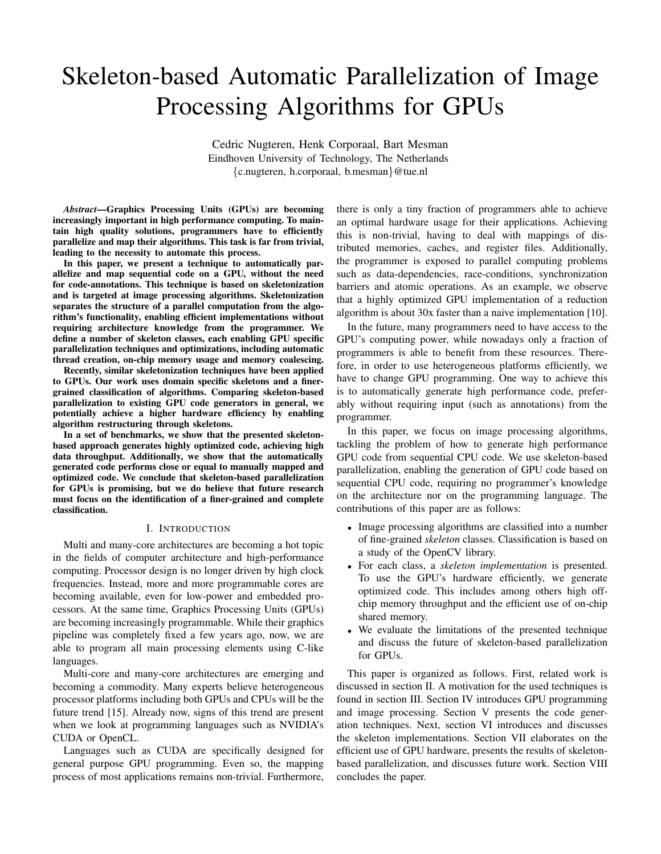# Skeleton-based Automatic Parallelization of Image Processing Algorithms for GPUs

Cedric Nugteren, Henk Corporaal, Bart Mesman Eindhoven University of Technology, The Netherlands {c.nugteren, h.corporaal, b.mesman}@tue.nl

*Abstract*—Graphics Processing Units (GPUs) are becoming increasingly important in high performance computing. To maintain high quality solutions, programmers have to efficiently parallelize and map their algorithms. This task is far from trivial, leading to the necessity to automate this process.

In this paper, we present a technique to automatically parallelize and map sequential code on a GPU, without the need for code-annotations. This technique is based on skeletonization and is targeted at image processing algorithms. Skeletonization separates the structure of a parallel computation from the algorithm's functionality, enabling efficient implementations without requiring architecture knowledge from the programmer. We define a number of skeleton classes, each enabling GPU specific parallelization techniques and optimizations, including automatic thread creation, on-chip memory usage and memory coalescing.

Recently, similar skeletonization techniques have been applied to GPUs. Our work uses domain specific skeletons and a finergrained classification of algorithms. Comparing skeleton-based parallelization to existing GPU code generators in general, we potentially achieve a higher hardware efficiency by enabling algorithm restructuring through skeletons.

In a set of benchmarks, we show that the presented skeletonbased approach generates highly optimized code, achieving high data throughput. Additionally, we show that the automatically generated code performs close or equal to manually mapped and optimized code. We conclude that skeleton-based parallelization for GPUs is promising, but we do believe that future research must focus on the identification of a finer-grained and complete classification.

### I. INTRODUCTION

Multi and many-core architectures are becoming a hot topic in the fields of computer architecture and high-performance computing. Processor design is no longer driven by high clock frequencies. Instead, more and more programmable cores are becoming available, even for low-power and embedded processors. At the same time, Graphics Processing Units (GPUs) are becoming increasingly programmable. While their graphics pipeline was completely fixed a few years ago, now, we are able to program all main processing elements using C-like languages.

Multi-core and many-core architectures are emerging and becoming a commodity. Many experts believe heterogeneous processor platforms including both GPUs and CPUs will be the future trend [15]. Already now, signs of this trend are present when we look at programming languages such as NVIDIA's CUDA or OpenCL.

Languages such as CUDA are specifically designed for general purpose GPU programming. Even so, the mapping process of most applications remains non-trivial. Furthermore, there is only a tiny fraction of programmers able to achieve an optimal hardware usage for their applications. Achieving this is non-trivial, having to deal with mappings of distributed memories, caches, and register files. Additionally, the programmer is exposed to parallel computing problems such as data-dependencies, race-conditions, synchronization barriers and atomic operations. As an example, we observe that a highly optimized GPU implementation of a reduction algorithm is about 30x faster than a naive implementation [10].

In the future, many programmers need to have access to the GPU's computing power, while nowadays only a fraction of programmers is able to benefit from these resources. Therefore, in order to use heterogeneous platforms efficiently, we have to change GPU programming. One way to achieve this is to automatically generate high performance code, preferably without requiring input (such as annotations) from the programmer.

In this paper, we focus on image processing algorithms, tackling the problem of how to generate high performance GPU code from sequential CPU code. We use skeleton-based parallelization, enabling the generation of GPU code based on sequential CPU code, requiring no programmer's knowledge on the architecture nor on the programming language. The contributions of this paper are as follows:

- Image processing algorithms are classified into a number of fine-grained *skeleton* classes. Classification is based on a study of the OpenCV library.
- For each class, a *skeleton implementation* is presented. To use the GPU's hardware efficiently, we generate optimized code. This includes among others high offchip memory throughput and the efficient use of on-chip shared memory.
- We evaluate the limitations of the presented technique and discuss the future of skeleton-based parallelization for GPUs.

This paper is organized as follows. First, related work is discussed in section II. A motivation for the used techniques is found in section III. Section IV introduces GPU programming and image processing. Section V presents the code generation techniques. Next, section VI introduces and discusses the skeleton implementations. Section VII elaborates on the efficient use of GPU hardware, presents the results of skeletonbased parallelization, and discusses future work. Section VIII concludes the paper.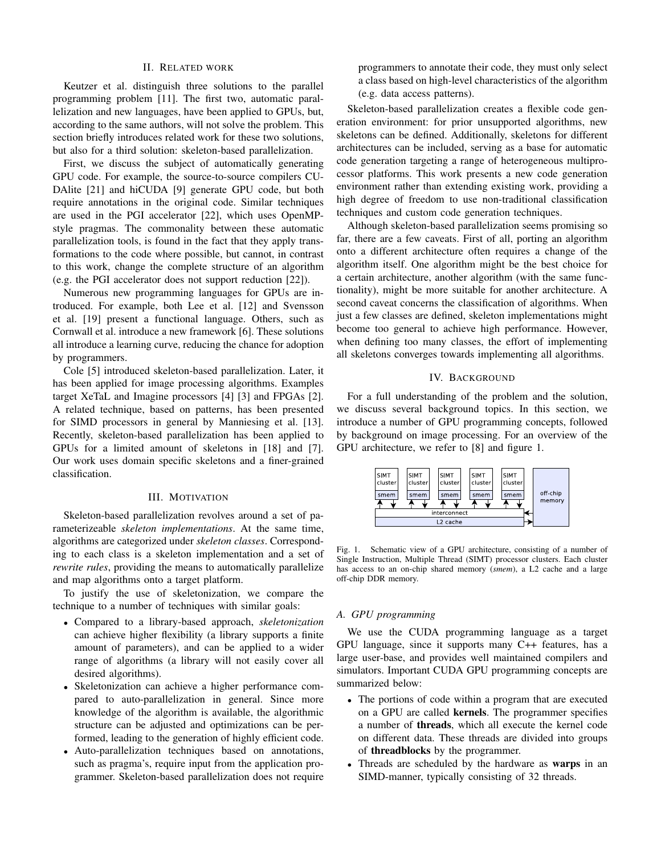# II. RELATED WORK

Keutzer et al. distinguish three solutions to the parallel programming problem [11]. The first two, automatic parallelization and new languages, have been applied to GPUs, but, according to the same authors, will not solve the problem. This section briefly introduces related work for these two solutions, but also for a third solution: skeleton-based parallelization.

First, we discuss the subject of automatically generating GPU code. For example, the source-to-source compilers CU-DAlite [21] and hiCUDA [9] generate GPU code, but both require annotations in the original code. Similar techniques are used in the PGI accelerator [22], which uses OpenMPstyle pragmas. The commonality between these automatic parallelization tools, is found in the fact that they apply transformations to the code where possible, but cannot, in contrast to this work, change the complete structure of an algorithm (e.g. the PGI accelerator does not support reduction [22]).

Numerous new programming languages for GPUs are introduced. For example, both Lee et al. [12] and Svensson et al. [19] present a functional language. Others, such as Cornwall et al. introduce a new framework [6]. These solutions all introduce a learning curve, reducing the chance for adoption by programmers.

Cole [5] introduced skeleton-based parallelization. Later, it has been applied for image processing algorithms. Examples target XeTaL and Imagine processors [4] [3] and FPGAs [2]. A related technique, based on patterns, has been presented for SIMD processors in general by Manniesing et al. [13]. Recently, skeleton-based parallelization has been applied to GPUs for a limited amount of skeletons in [18] and [7]. Our work uses domain specific skeletons and a finer-grained classification.

# III. MOTIVATION

Skeleton-based parallelization revolves around a set of parameterizeable *skeleton implementations*. At the same time, algorithms are categorized under *skeleton classes*. Corresponding to each class is a skeleton implementation and a set of *rewrite rules*, providing the means to automatically parallelize and map algorithms onto a target platform.

To justify the use of skeletonization, we compare the technique to a number of techniques with similar goals:

- Compared to a library-based approach, *skeletonization* can achieve higher flexibility (a library supports a finite amount of parameters), and can be applied to a wider range of algorithms (a library will not easily cover all desired algorithms).
- Skeletonization can achieve a higher performance compared to auto-parallelization in general. Since more knowledge of the algorithm is available, the algorithmic structure can be adjusted and optimizations can be performed, leading to the generation of highly efficient code.
- Auto-parallelization techniques based on annotations, such as pragma's, require input from the application programmer. Skeleton-based parallelization does not require

programmers to annotate their code, they must only select a class based on high-level characteristics of the algorithm (e.g. data access patterns).

Skeleton-based parallelization creates a flexible code generation environment: for prior unsupported algorithms, new skeletons can be defined. Additionally, skeletons for different architectures can be included, serving as a base for automatic code generation targeting a range of heterogeneous multiprocessor platforms. This work presents a new code generation environment rather than extending existing work, providing a high degree of freedom to use non-traditional classification techniques and custom code generation techniques.

Although skeleton-based parallelization seems promising so far, there are a few caveats. First of all, porting an algorithm onto a different architecture often requires a change of the algorithm itself. One algorithm might be the best choice for a certain architecture, another algorithm (with the same functionality), might be more suitable for another architecture. A second caveat concerns the classification of algorithms. When just a few classes are defined, skeleton implementations might become too general to achieve high performance. However, when defining too many classes, the effort of implementing all skeletons converges towards implementing all algorithms.

## IV. BACKGROUND

For a full understanding of the problem and the solution, we discuss several background topics. In this section, we introduce a number of GPU programming concepts, followed by background on image processing. For an overview of the GPU architecture, we refer to [8] and figure 1.



Fig. 1. Schematic view of a GPU architecture, consisting of a number of Single Instruction, Multiple Thread (SIMT) processor clusters. Each cluster has access to an on-chip shared memory (*smem*), a L2 cache and a large off-chip DDR memory.

## *A. GPU programming*

We use the CUDA programming language as a target GPU language, since it supports many C++ features, has a large user-base, and provides well maintained compilers and simulators. Important CUDA GPU programming concepts are summarized below:

- The portions of code within a program that are executed on a GPU are called kernels. The programmer specifies a number of threads, which all execute the kernel code on different data. These threads are divided into groups of threadblocks by the programmer.
- Threads are scheduled by the hardware as warps in an SIMD-manner, typically consisting of 32 threads.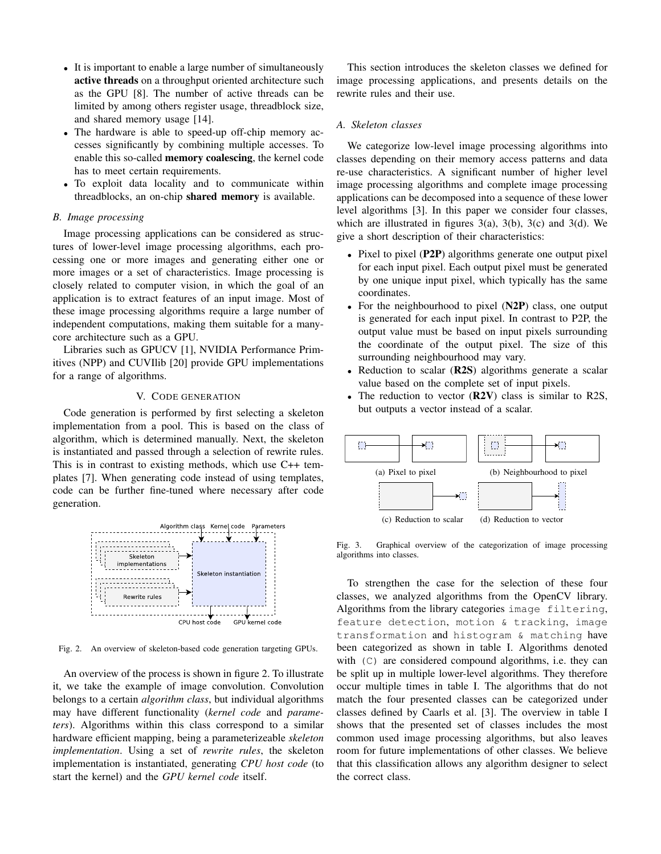- It is important to enable a large number of simultaneously active threads on a throughput oriented architecture such as the GPU [8]. The number of active threads can be limited by among others register usage, threadblock size, and shared memory usage [14].
- The hardware is able to speed-up off-chip memory accesses significantly by combining multiple accesses. To enable this so-called memory coalescing, the kernel code has to meet certain requirements.
- To exploit data locality and to communicate within threadblocks, an on-chip shared memory is available.

# *B. Image processing*

Image processing applications can be considered as structures of lower-level image processing algorithms, each processing one or more images and generating either one or more images or a set of characteristics. Image processing is closely related to computer vision, in which the goal of an application is to extract features of an input image. Most of these image processing algorithms require a large number of independent computations, making them suitable for a manycore architecture such as a GPU.

Libraries such as GPUCV [1], NVIDIA Performance Primitives (NPP) and CUVIlib [20] provide GPU implementations for a range of algorithms.

# V. CODE GENERATION

Code generation is performed by first selecting a skeleton implementation from a pool. This is based on the class of algorithm, which is determined manually. Next, the skeleton is instantiated and passed through a selection of rewrite rules. This is in contrast to existing methods, which use C++ templates [7]. When generating code instead of using templates, code can be further fine-tuned where necessary after code generation.



Fig. 2. An overview of skeleton-based code generation targeting GPUs.

An overview of the process is shown in figure 2. To illustrate it, we take the example of image convolution. Convolution belongs to a certain *algorithm class*, but individual algorithms may have different functionality (*kernel code* and *parameters*). Algorithms within this class correspond to a similar hardware efficient mapping, being a parameterizeable *skeleton implementation*. Using a set of *rewrite rules*, the skeleton implementation is instantiated, generating *CPU host code* (to start the kernel) and the *GPU kernel code* itself.

This section introduces the skeleton classes we defined for image processing applications, and presents details on the rewrite rules and their use.

# *A. Skeleton classes*

We categorize low-level image processing algorithms into classes depending on their memory access patterns and data re-use characteristics. A significant number of higher level image processing algorithms and complete image processing applications can be decomposed into a sequence of these lower level algorithms [3]. In this paper we consider four classes, which are illustrated in figures  $3(a)$ ,  $3(b)$ ,  $3(c)$  and  $3(d)$ . We give a short description of their characteristics:

- Pixel to pixel (P2P) algorithms generate one output pixel for each input pixel. Each output pixel must be generated by one unique input pixel, which typically has the same coordinates.
- For the neighbourhood to pixel (N2P) class, one output is generated for each input pixel. In contrast to P2P, the output value must be based on input pixels surrounding the coordinate of the output pixel. The size of this surrounding neighbourhood may vary.
- Reduction to scalar (R2S) algorithms generate a scalar value based on the complete set of input pixels.
- The reduction to vector (R2V) class is similar to R2S, but outputs a vector instead of a scalar.



Fig. 3. Graphical overview of the categorization of image processing algorithms into classes.

To strengthen the case for the selection of these four classes, we analyzed algorithms from the OpenCV library. Algorithms from the library categories image filtering, feature detection, motion & tracking, image transformation and histogram & matching have been categorized as shown in table I. Algorithms denoted with (C) are considered compound algorithms, i.e. they can be split up in multiple lower-level algorithms. They therefore occur multiple times in table I. The algorithms that do not match the four presented classes can be categorized under classes defined by Caarls et al. [3]. The overview in table I shows that the presented set of classes includes the most common used image processing algorithms, but also leaves room for future implementations of other classes. We believe that this classification allows any algorithm designer to select the correct class.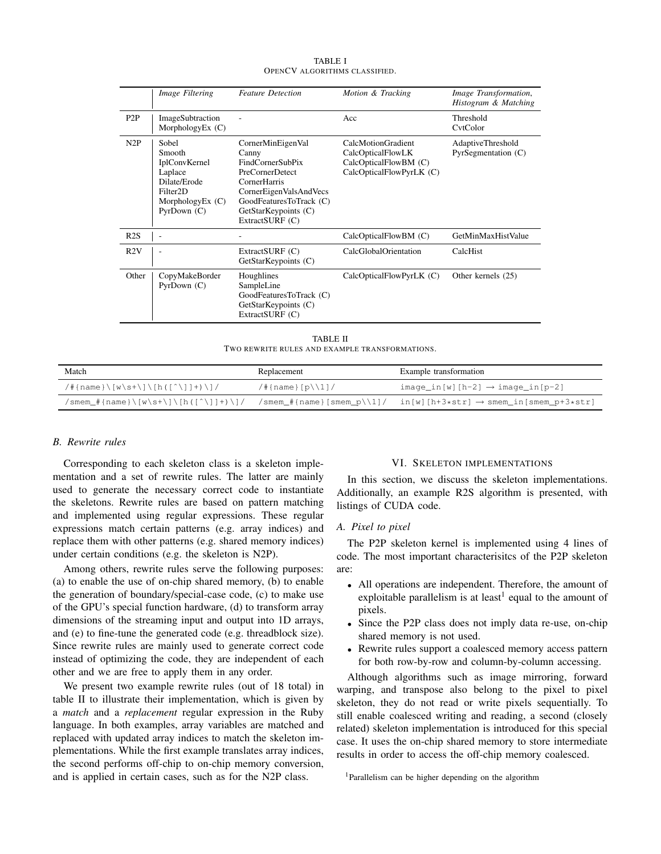|       | Image Filtering                                                                                                                   | <b>Feature Detection</b>                                                                                                                                                                        | Motion & Tracking                                                                                   | Image Transformation,<br>Histogram & Matching   |
|-------|-----------------------------------------------------------------------------------------------------------------------------------|-------------------------------------------------------------------------------------------------------------------------------------------------------------------------------------------------|-----------------------------------------------------------------------------------------------------|-------------------------------------------------|
| P2P   | ImageSubtraction<br>MorphologyEx $(C)$                                                                                            |                                                                                                                                                                                                 | Acc                                                                                                 | Threshold<br>CvtColor                           |
| N2P   | Sobel<br>Smooth<br><b>IplConvKernel</b><br>Laplace<br>Dilate/Erode<br>Filter <sub>2D</sub><br>MorphologyEx $(C)$<br>PyrDown $(C)$ | CornerMinEigenVal<br>Canny<br><b>FindCornerSubPix</b><br><b>PreCornerDetect</b><br>CornerHarris<br>CornerEigenValsAndVecs<br>GoodFeaturesToTrack (C)<br>GetStarKeypoints (C)<br>ExtractSURF (C) | <b>CalcMotionGradient</b><br>CalcOpticalFlowLK<br>CalcOpticalFlowBM (C)<br>CalcOpticalFlowPyrLK (C) | <b>AdaptiveThreshold</b><br>PyrSegmentation (C) |
| R2S   |                                                                                                                                   |                                                                                                                                                                                                 | CalcOpticalFlowBM (C)                                                                               | GetMinMaxHistValue                              |
| R2V   |                                                                                                                                   | ExtractSURF (C)<br>GetStarKeypoints (C)                                                                                                                                                         | CalcGlobalOrientation                                                                               | CalcHist                                        |
| Other | CopyMakeBorder<br>PyrDown $(C)$                                                                                                   | Houghlines<br>SampleLine<br>GoodFeaturesToTrack (C)<br>GetStarKeypoints (C)<br>ExtractSURF (C)                                                                                                  | CalcOpticalFlowPyrLK (C)                                                                            | Other kernels (25)                              |

#### TABLE I OPENCV ALGORITHMS CLASSIFIED.

TABLE II TWO REWRITE RULES AND EXAMPLE TRANSFORMATIONS.

| Match                                        | Replacement     | Example transformation                                                                     |
|----------------------------------------------|-----------------|--------------------------------------------------------------------------------------------|
| /#{name}\[w\s+\]\[h([^\]]+)\]/               | /#{name}[p\\1]/ | $image_in[w][h-2] \rightarrow image_in[p-2]$                                               |
| $\gamma$ / smem_#{name}\[w\s+\]\[h([^\]]+)\] |                 | $\gamma$ /smem_#{name} [smem_p\\1] / in [w] [h+3*str] $\rightarrow$ smem_in [smem_p+3*str] |

# *B. Rewrite rules*

Corresponding to each skeleton class is a skeleton implementation and a set of rewrite rules. The latter are mainly used to generate the necessary correct code to instantiate the skeletons. Rewrite rules are based on pattern matching and implemented using regular expressions. These regular expressions match certain patterns (e.g. array indices) and replace them with other patterns (e.g. shared memory indices) under certain conditions (e.g. the skeleton is N2P).

Among others, rewrite rules serve the following purposes: (a) to enable the use of on-chip shared memory, (b) to enable the generation of boundary/special-case code, (c) to make use of the GPU's special function hardware, (d) to transform array dimensions of the streaming input and output into 1D arrays, and (e) to fine-tune the generated code (e.g. threadblock size). Since rewrite rules are mainly used to generate correct code instead of optimizing the code, they are independent of each other and we are free to apply them in any order.

We present two example rewrite rules (out of 18 total) in table II to illustrate their implementation, which is given by a *match* and a *replacement* regular expression in the Ruby language. In both examples, array variables are matched and replaced with updated array indices to match the skeleton implementations. While the first example translates array indices, the second performs off-chip to on-chip memory conversion, and is applied in certain cases, such as for the N2P class.

# VI. SKELETON IMPLEMENTATIONS

In this section, we discuss the skeleton implementations. Additionally, an example R2S algorithm is presented, with listings of CUDA code.

# *A. Pixel to pixel*

The P2P skeleton kernel is implemented using 4 lines of code. The most important characterisitcs of the P2P skeleton are:

- All operations are independent. Therefore, the amount of exploitable parallelism is at least<sup>1</sup> equal to the amount of pixels.
- Since the P2P class does not imply data re-use, on-chip shared memory is not used.
- Rewrite rules support a coalesced memory access pattern for both row-by-row and column-by-column accessing.

Although algorithms such as image mirroring, forward warping, and transpose also belong to the pixel to pixel skeleton, they do not read or write pixels sequentially. To still enable coalesced writing and reading, a second (closely related) skeleton implementation is introduced for this special case. It uses the on-chip shared memory to store intermediate results in order to access the off-chip memory coalesced.

<sup>1</sup>Parallelism can be higher depending on the algorithm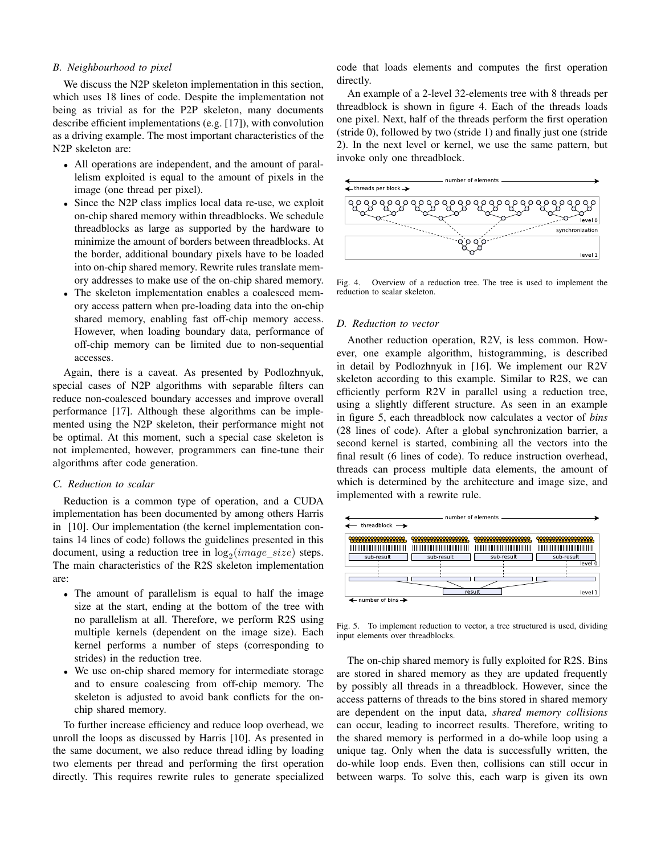## *B. Neighbourhood to pixel*

We discuss the N2P skeleton implementation in this section, which uses 18 lines of code. Despite the implementation not being as trivial as for the P2P skeleton, many documents describe efficient implementations (e.g. [17]), with convolution as a driving example. The most important characteristics of the N2P skeleton are:

- All operations are independent, and the amount of parallelism exploited is equal to the amount of pixels in the image (one thread per pixel).
- Since the N2P class implies local data re-use, we exploit on-chip shared memory within threadblocks. We schedule threadblocks as large as supported by the hardware to minimize the amount of borders between threadblocks. At the border, additional boundary pixels have to be loaded into on-chip shared memory. Rewrite rules translate memory addresses to make use of the on-chip shared memory.
- The skeleton implementation enables a coalesced memory access pattern when pre-loading data into the on-chip shared memory, enabling fast off-chip memory access. However, when loading boundary data, performance of off-chip memory can be limited due to non-sequential accesses.

Again, there is a caveat. As presented by Podlozhnyuk, special cases of N2P algorithms with separable filters can reduce non-coalesced boundary accesses and improve overall performance [17]. Although these algorithms can be implemented using the N2P skeleton, their performance might not be optimal. At this moment, such a special case skeleton is not implemented, however, programmers can fine-tune their algorithms after code generation.

## *C. Reduction to scalar*

Reduction is a common type of operation, and a CUDA implementation has been documented by among others Harris in [10]. Our implementation (the kernel implementation contains 14 lines of code) follows the guidelines presented in this document, using a reduction tree in  $log_2(image\_size)$  steps. The main characteristics of the R2S skeleton implementation are:

- The amount of parallelism is equal to half the image size at the start, ending at the bottom of the tree with no parallelism at all. Therefore, we perform R2S using multiple kernels (dependent on the image size). Each kernel performs a number of steps (corresponding to strides) in the reduction tree.
- We use on-chip shared memory for intermediate storage and to ensure coalescing from off-chip memory. The skeleton is adjusted to avoid bank conflicts for the onchip shared memory.

To further increase efficiency and reduce loop overhead, we unroll the loops as discussed by Harris [10]. As presented in the same document, we also reduce thread idling by loading two elements per thread and performing the first operation directly. This requires rewrite rules to generate specialized

code that loads elements and computes the first operation directly.

An example of a 2-level 32-elements tree with 8 threads per threadblock is shown in figure 4. Each of the threads loads one pixel. Next, half of the threads perform the first operation (stride 0), followed by two (stride 1) and finally just one (stride 2). In the next level or kernel, we use the same pattern, but invoke only one threadblock.



Fig. 4. Overview of a reduction tree. The tree is used to implement the reduction to scalar skeleton.

#### *D. Reduction to vector*

Another reduction operation, R2V, is less common. However, one example algorithm, histogramming, is described in detail by Podlozhnyuk in [16]. We implement our R2V skeleton according to this example. Similar to R2S, we can efficiently perform R2V in parallel using a reduction tree, using a slightly different structure. As seen in an example in figure 5, each threadblock now calculates a vector of *bins* (28 lines of code). After a global synchronization barrier, a second kernel is started, combining all the vectors into the final result (6 lines of code). To reduce instruction overhead, threads can process multiple data elements, the amount of which is determined by the architecture and image size, and implemented with a rewrite rule.



Fig. 5. To implement reduction to vector, a tree structured is used, dividing input elements over threadblocks.

The on-chip shared memory is fully exploited for R2S. Bins are stored in shared memory as they are updated frequently by possibly all threads in a threadblock. However, since the access patterns of threads to the bins stored in shared memory are dependent on the input data, *shared memory collisions* can occur, leading to incorrect results. Therefore, writing to the shared memory is performed in a do-while loop using a unique tag. Only when the data is successfully written, the do-while loop ends. Even then, collisions can still occur in between warps. To solve this, each warp is given its own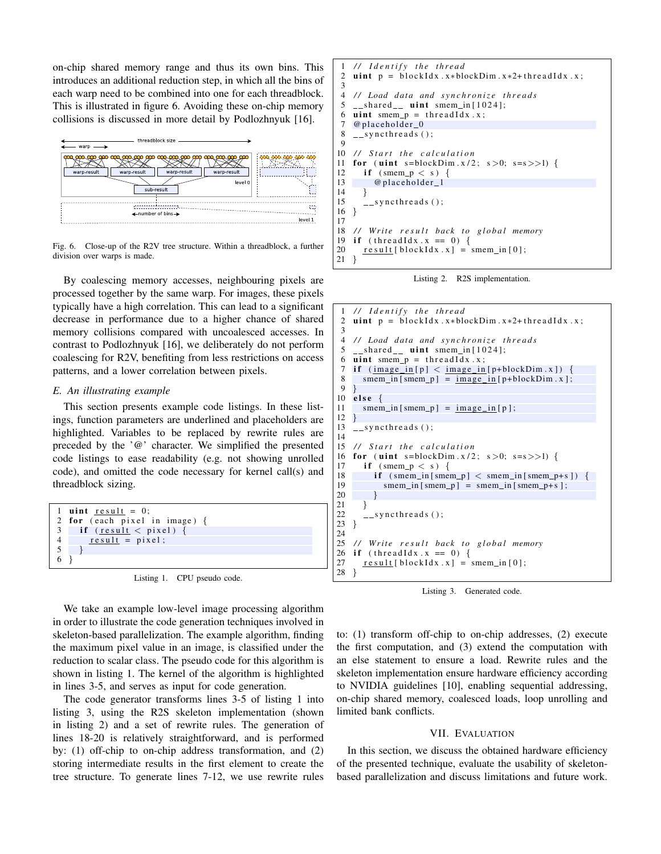on-chip shared memory range and thus its own bins. This introduces an additional reduction step, in which all the bins of each warp need to be combined into one for each threadblock. This is illustrated in figure 6. Avoiding these on-chip memory collisions is discussed in more detail by Podlozhnyuk [16].



Fig. 6. Close-up of the R2V tree structure. Within a threadblock, a further division over warps is made.

By coalescing memory accesses, neighbouring pixels are processed together by the same warp. For images, these pixels typically have a high correlation. This can lead to a significant decrease in performance due to a higher chance of shared memory collisions compared with uncoalesced accesses. In contrast to Podlozhnyuk [16], we deliberately do not perform coalescing for R2V, benefiting from less restrictions on access patterns, and a lower correlation between pixels.

# *E. An illustrating example*

This section presents example code listings. In these listings, function parameters are underlined and placeholders are highlighted. Variables to be replaced by rewrite rules are preceded by the '@' character. We simplified the presented code listings to ease readability (e.g. not showing unrolled code), and omitted the code necessary for kernel call(s) and threadblock sizing.

```
1 uint <u>result</u> = 0;</u>
2 for (each pixel in image) {<br>3 if (result < pixel) {
       if (<u>result</u> < pixel) {
\begin{array}{c} 4 \\ 5 \end{array} result = pixel;
        5 }
6 }
```
Listing 1. CPU pseudo code.

We take an example low-level image processing algorithm in order to illustrate the code generation techniques involved in skeleton-based parallelization. The example algorithm, finding the maximum pixel value in an image, is classified under the reduction to scalar class. The pseudo code for this algorithm is shown in listing 1. The kernel of the algorithm is highlighted in lines 3-5, and serves as input for code generation.

The code generator transforms lines 3-5 of listing 1 into listing 3, using the R2S skeleton implementation (shown in listing 2) and a set of rewrite rules. The generation of lines 18-20 is relatively straightforward, and is performed by: (1) off-chip to on-chip address transformation, and (2) storing intermediate results in the first element to create the tree structure. To generate lines 7-12, we use rewrite rules

```
1 / / I d e n t i f y t h e t h r e a d
 2 uint p = blockIdx.x * blockDim.x * 2 + threadIdx.x;3
 4 // Load data and synchronize threads<br>5 shared uint smem in [1024];
 5 _shared__ uint smem_in [1024];<br>6 uint smem p = threadIdx.x;
     uint smem_p = thread \text{Id} x. x;
 7 @ placeholder_0
 8 \quad -syncthreads();
\frac{9}{10}11 Start the calculation
11 for (uint s=blockDim. x/2; s>0; s=s>>1) {
12 if (\text{smem\_p} < s) {<br>13 @ placeholder_1
           @ placeholder_1
\begin{matrix} 14 & 3 \\ 15 & 3 \end{matrix}\begin{array}{c} 15 \ 16 \end{array} = syncthreads ();
    \}17
18 // Write result back to global memory
19 if (threadIdx.x == 0) {
20 result[blockIdx.x] = smem_in[0];21 }
```
Listing 2. R2S implementation.

```
1 / / I d e n t i f y t h e t h r e a d
 2 uint p = blockIdx.x * blockDim.x *2+threadIdx.x;3
 4 // Load data and synchronize threads
 5 _shared__ uint smem_in [1024];
 6 uint smem_p = thread Id x . x;
 7 if (\text{image_in}[p] < \text{image_in}[p+\text{blockDim.x}]) {<br>8 smem_in [smem_p] = image_in [p+blockDim . x];
        smem_in [smem_p] = \underline{image_in} [p+blockDim.x];\begin{matrix} 9 \\ 10 \end{matrix}else {11 smem_in [smem_p] = \underline{image_in} [p];\begin{array}{c} 12 \\ 13 \end{array}12 -s y n c threads ();
14
15 // Start the calculation
16 for (uint s=blockDim. x/2; s>0; s=s>>1) {
17 if (smem_p < s) {
18 if (\text{smem\_in} [\text{smem\_p}] < \text{smem\_in} [\text{smem\_p+s}]) {<br>19 smem in [\text{smem\_p}] = \text{smem\_in} [\text{smem\_p+s}].smem_in [smem_p] = smem_in [smem_p+s];
\begin{array}{c} 20 \\ 21 \end{array}\frac{21}{22}s y n c threads ( );
23 }
2425 // Write result back to global memory<br>26 if (threadIdx.x == 0) {
     if (thread Id x . x == 0) {
27 result [blockIdx . x] = smem_in [0];
28 }
```
Listing 3. Generated code.

to: (1) transform off-chip to on-chip addresses, (2) execute the first computation, and (3) extend the computation with an else statement to ensure a load. Rewrite rules and the skeleton implementation ensure hardware efficiency according to NVIDIA guidelines [10], enabling sequential addressing, on-chip shared memory, coalesced loads, loop unrolling and limited bank conflicts.

#### VII. EVALUATION

In this section, we discuss the obtained hardware efficiency of the presented technique, evaluate the usability of skeletonbased parallelization and discuss limitations and future work.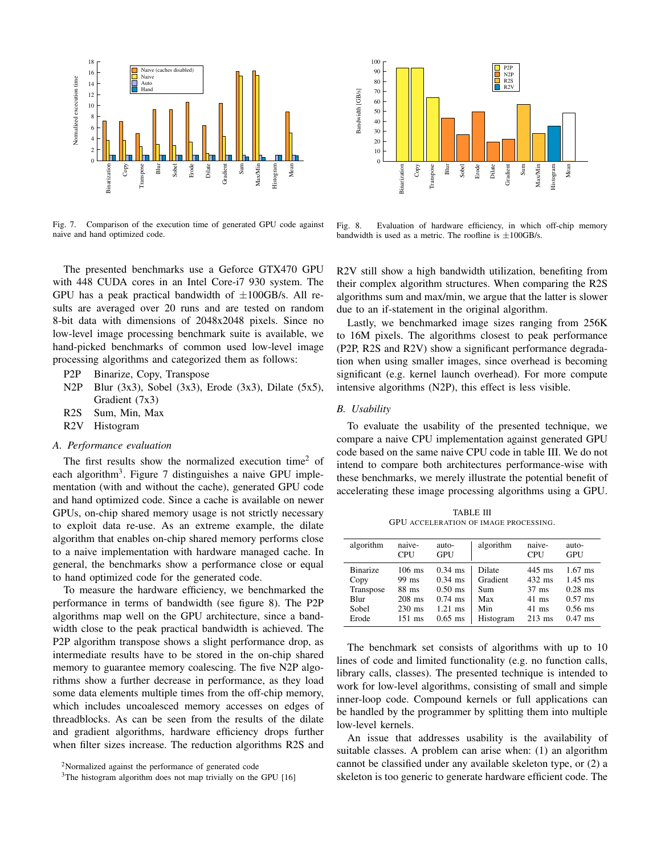

Fig. 7. Comparison of the execution time of generated GPU code against naive and hand optimized code.

The presented benchmarks use a Geforce GTX470 GPU with 448 CUDA cores in an Intel Core-i7 930 system. The GPU has a peak practical bandwidth of  $\pm 100$ GB/s. All results are averaged over 20 runs and are tested on random 8-bit data with dimensions of 2048x2048 pixels. Since no low-level image processing benchmark suite is available, we hand-picked benchmarks of common used low-level image processing algorithms and categorized them as follows:

- P2P Binarize, Copy, Transpose
- N2P Blur (3x3), Sobel (3x3), Erode (3x3), Dilate (5x5), Gradient (7x3)
- R2S Sum, Min, Max
- R2V Histogram

### *A. Performance evaluation*

The first results show the normalized execution time<sup>2</sup> of each algorithm<sup>3</sup>. Figure 7 distinguishes a naive GPU implementation (with and without the cache), generated GPU code and hand optimized code. Since a cache is available on newer GPUs, on-chip shared memory usage is not strictly necessary to exploit data re-use. As an extreme example, the dilate algorithm that enables on-chip shared memory performs close to a naive implementation with hardware managed cache. In general, the benchmarks show a performance close or equal to hand optimized code for the generated code.

To measure the hardware efficiency, we benchmarked the performance in terms of bandwidth (see figure 8). The P2P algorithms map well on the GPU architecture, since a bandwidth close to the peak practical bandwidth is achieved. The P2P algorithm transpose shows a slight performance drop, as intermediate results have to be stored in the on-chip shared memory to guarantee memory coalescing. The five N2P algorithms show a further decrease in performance, as they load some data elements multiple times from the off-chip memory, which includes uncoalesced memory accesses on edges of threadblocks. As can be seen from the results of the dilate and gradient algorithms, hardware efficiency drops further when filter sizes increase. The reduction algorithms R2S and



Fig. 8. Evaluation of hardware efficiency, in which off-chip memory bandwidth is used as a metric. The roofline is  $\pm 100$ GB/s.

R2V still show a high bandwidth utilization, benefiting from their complex algorithm structures. When comparing the R2S algorithms sum and max/min, we argue that the latter is slower due to an if-statement in the original algorithm.

Lastly, we benchmarked image sizes ranging from 256K to 16M pixels. The algorithms closest to peak performance (P2P, R2S and R2V) show a significant performance degradation when using smaller images, since overhead is becoming significant (e.g. kernel launch overhead). For more compute intensive algorithms (N2P), this effect is less visible.

### *B. Usability*

To evaluate the usability of the presented technique, we compare a naive CPU implementation against generated GPU code based on the same naive CPU code in table III. We do not intend to compare both architectures performance-wise with these benchmarks, we merely illustrate the potential benefit of accelerating these image processing algorithms using a GPU.

TABLE III GPU ACCELERATION OF IMAGE PROCESSING.

| algorithm       | naive-<br><b>CPU</b> | auto-<br>GPU | algorithm | naive-<br><b>CPU</b> | auto-<br>GPU |
|-----------------|----------------------|--------------|-----------|----------------------|--------------|
| <b>Binarize</b> | $106$ ms             | $0.34$ ms    | Dilate    | 445 ms               | $1.67$ ms    |
| Copy            | 99 ms                | $0.34$ ms    | Gradient  | $432$ ms             | $1.45$ ms    |
| Transpose       | 88 ms                | $0.50$ ms    | Sum       | $37 \text{ ms}$      | $0.28$ ms    |
| Blur            | $208$ ms             | $0.74$ ms    | Max       | $41 \text{ ms}$      | $0.57$ ms    |
| Sobel           | $230 \text{ ms}$     | $1.21$ ms    | Min       | $41$ ms              | $0.56$ ms    |
| Erode           | $151$ ms             | $0.65$ ms    | Histogram | $213$ ms             | $0.47$ ms    |

The benchmark set consists of algorithms with up to 10 lines of code and limited functionality (e.g. no function calls, library calls, classes). The presented technique is intended to work for low-level algorithms, consisting of small and simple inner-loop code. Compound kernels or full applications can be handled by the programmer by splitting them into multiple low-level kernels.

An issue that addresses usability is the availability of suitable classes. A problem can arise when: (1) an algorithm cannot be classified under any available skeleton type, or (2) a skeleton is too generic to generate hardware efficient code. The

<sup>2</sup>Normalized against the performance of generated code

<sup>&</sup>lt;sup>3</sup>The histogram algorithm does not map trivially on the GPU [16]